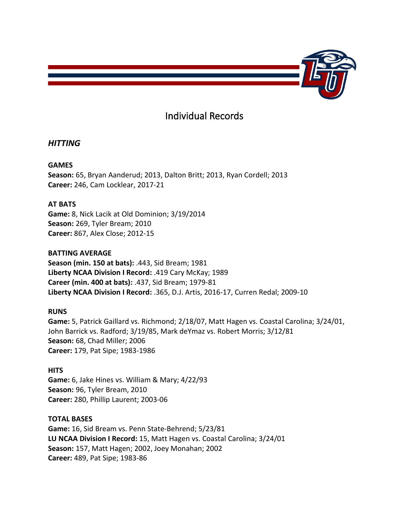

# Individual Records

# *HITTING*

# **GAMES**

**Season:** 65, Bryan Aanderud; 2013, Dalton Britt; 2013, Ryan Cordell; 2013 **Career:** 246, Cam Locklear, 2017-21

# **AT BATS**

**Game:** 8, Nick Lacik at Old Dominion; 3/19/2014 **Season:** 269, Tyler Bream; 2010 **Career:** 867, Alex Close; 2012-15

# **BATTING AVERAGE**

**Season (min. 150 at bats):** .443, Sid Bream; 1981 **Liberty NCAA Division I Record:** .419 Cary McKay; 1989 **Career (min. 400 at bats):** .437, Sid Bream; 1979-81 **Liberty NCAA Division I Record:** .365, D.J. Artis, 2016-17, Curren Redal; 2009-10

# **RUNS**

**Game:** 5, Patrick Gaillard vs. Richmond; 2/18/07, Matt Hagen vs. Coastal Carolina; 3/24/01, John Barrick vs. Radford; 3/19/85, Mark deYmaz vs. Robert Morris; 3/12/81 **Season:** 68, Chad Miller; 2006 **Career:** 179, Pat Sipe; 1983-1986

# **HITS**

**Game:** 6, Jake Hines vs. William & Mary; 4/22/93 **Season:** 96, Tyler Bream, 2010 **Career:** 280, Phillip Laurent; 2003-06

## **TOTAL BASES**

**Game:** 16, Sid Bream vs. Penn State-Behrend; 5/23/81 **LU NCAA Division I Record:** 15, Matt Hagen vs. Coastal Carolina; 3/24/01 **Season:** 157, Matt Hagen; 2002, Joey Monahan; 2002 **Career:** 489, Pat Sipe; 1983-86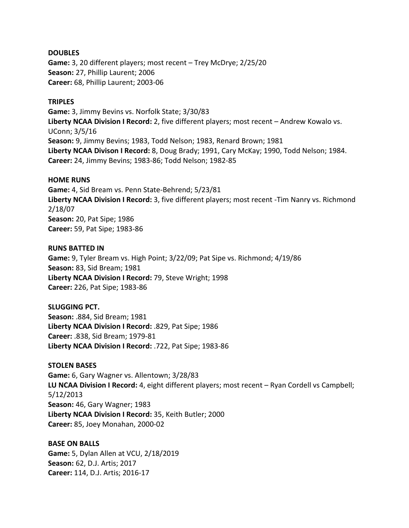#### **DOUBLES**

**Game:** 3, 20 different players; most recent – Trey McDrye; 2/25/20 **Season:** 27, Phillip Laurent; 2006 **Career:** 68, Phillip Laurent; 2003-06

#### **TRIPLES**

**Game:** 3, Jimmy Bevins vs. Norfolk State; 3/30/83 **Liberty NCAA Division I Record:** 2, five different players; most recent – Andrew Kowalo vs. UConn; 3/5/16 **Season:** 9, Jimmy Bevins; 1983, Todd Nelson; 1983, Renard Brown; 1981 **Liberty NCAA Divison I Record:** 8, Doug Brady; 1991, Cary McKay; 1990, Todd Nelson; 1984. **Career:** 24, Jimmy Bevins; 1983-86; Todd Nelson; 1982-85

#### **HOME RUNS**

**Game:** 4, Sid Bream vs. Penn State-Behrend; 5/23/81 **Liberty NCAA Division I Record:** 3, five different players; most recent -Tim Nanry vs. Richmond 2/18/07 **Season:** 20, Pat Sipe; 1986 **Career:** 59, Pat Sipe; 1983-86

#### **RUNS BATTED IN**

**Game:** 9, Tyler Bream vs. High Point; 3/22/09; Pat Sipe vs. Richmond; 4/19/86 **Season:** 83, Sid Bream; 1981 **Liberty NCAA Division I Record:** 79, Steve Wright; 1998 **Career:** 226, Pat Sipe; 1983-86

## **SLUGGING PCT.**

**Season:** .884, Sid Bream; 1981 **Liberty NCAA Division I Record:** .829, Pat Sipe; 1986 **Career:** .838, Sid Bream; 1979-81 **Liberty NCAA Division I Record:** .722, Pat Sipe; 1983-86

## **STOLEN BASES**

**Game:** 6, Gary Wagner vs. Allentown; 3/28/83 **LU NCAA Division I Record:** 4, eight different players; most recent – Ryan Cordell vs Campbell; 5/12/2013 **Season:** 46, Gary Wagner; 1983 **Liberty NCAA Division I Record:** 35, Keith Butler; 2000 **Career:** 85, Joey Monahan, 2000-02

## **BASE ON BALLS**

**Game:** 5, Dylan Allen at VCU, 2/18/2019 **Season:** 62, D.J. Artis; 2017 **Career:** 114, D.J. Artis; 2016-17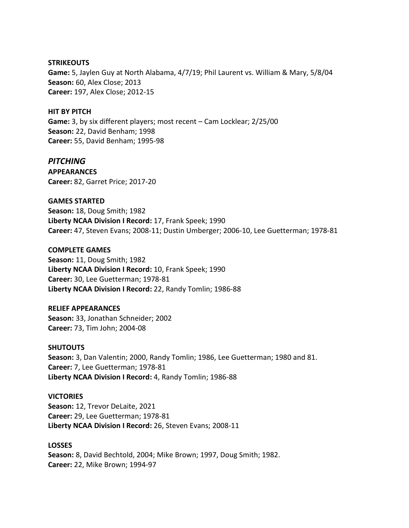**STRIKEOUTS**

**Game:** 5, Jaylen Guy at North Alabama, 4/7/19; Phil Laurent vs. William & Mary, 5/8/04 **Season:** 60, Alex Close; 2013 **Career:** 197, Alex Close; 2012-15

#### **HIT BY PITCH**

**Game:** 3, by six different players; most recent – Cam Locklear; 2/25/00 **Season:** 22, David Benham; 1998 **Career:** 55, David Benham; 1995-98

## *PITCHING*

**APPEARANCES Career:** 82, Garret Price; 2017-20

**GAMES STARTED**

**Season:** 18, Doug Smith; 1982 **Liberty NCAA Division I Record:** 17, Frank Speek; 1990 **Career:** 47, Steven Evans; 2008-11; Dustin Umberger; 2006-10, Lee Guetterman; 1978-81

#### **COMPLETE GAMES**

**Season:** 11, Doug Smith; 1982 **Liberty NCAA Division I Record:** 10, Frank Speek; 1990 **Career:** 30, Lee Guetterman; 1978-81 **Liberty NCAA Division I Record:** 22, Randy Tomlin; 1986-88

## **RELIEF APPEARANCES**

**Season:** 33, Jonathan Schneider; 2002 **Career:** 73, Tim John; 2004-08

#### **SHUTOUTS**

**Season:** 3, Dan Valentin; 2000, Randy Tomlin; 1986, Lee Guetterman; 1980 and 81. **Career:** 7, Lee Guetterman; 1978-81 **Liberty NCAA Division I Record:** 4, Randy Tomlin; 1986-88

## **VICTORIES**

**Season:** 12, Trevor DeLaite, 2021 **Career:** 29, Lee Guetterman; 1978-81 **Liberty NCAA Division I Record:** 26, Steven Evans; 2008-11

## **LOSSES**

**Season:** 8, David Bechtold, 2004; Mike Brown; 1997, Doug Smith; 1982. **Career:** 22, Mike Brown; 1994-97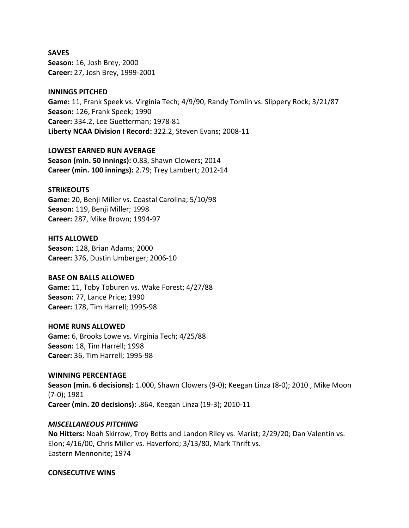**SAVES Season:** 16, Josh Brey, 2000 **Career:** 27, Josh Brey, 1999-2001

## **INNINGS PITCHED**

**Game:** 11, Frank Speek vs. Virginia Tech; 4/9/90, Randy Tomlin vs. Slippery Rock; 3/21/87 **Season:** 126, Frank Speek; 1990 **Career:** 334.2, Lee Guetterman; 1978-81 **Liberty NCAA Division I Record:** 322.2, Steven Evans; 2008-11

**LOWEST EARNED RUN AVERAGE**

**Season (min. 50 innings):** 0.83, Shawn Clowers; 2014 **Career (min. 100 innings):** 2.79; Trey Lambert; 2012-14

#### **STRIKEOUTS**

**Game:** 20, Benji Miller vs. Coastal Carolina; 5/10/98 **Season:** 119, Benji Miller; 1998 **Career:** 287, Mike Brown; 1994-97

#### **HITS ALLOWED**

**Season:** 128, Brian Adams; 2000 **Career:** 376, Dustin Umberger; 2006-10

## **BASE ON BALLS ALLOWED**

**Game:** 11, Toby Toburen vs. Wake Forest; 4/27/88 **Season:** 77, Lance Price; 1990 **Career:** 178, Tim Harrell; 1995-98

#### **HOME RUNS ALLOWED**

**Game:** 6, Brooks Lowe vs. Virginia Tech; 4/25/88 **Season:** 18, Tim Harrell; 1998 **Career:** 36, Tim Harrell; 1995-98

**WINNING PERCENTAGE Season (min. 6 decisions):** 1.000, Shawn Clowers (9-0); Keegan Linza (8-0); 2010 , Mike Moon (7-0); 1981 **Career (min. 20 decisions):** .864, Keegan Linza (19-3); 2010-11

## *MISCELLANEOUS PITCHING*

**No Hitters:** Noah Skirrow, Troy Betts and Landon Riley vs. Marist; 2/29/20; Dan Valentin vs. Elon; 4/16/00, Chris Miller vs. Haverford; 3/13/80, Mark Thrift vs. Eastern Mennonite; 1974

#### **CONSECUTIVE WINS**